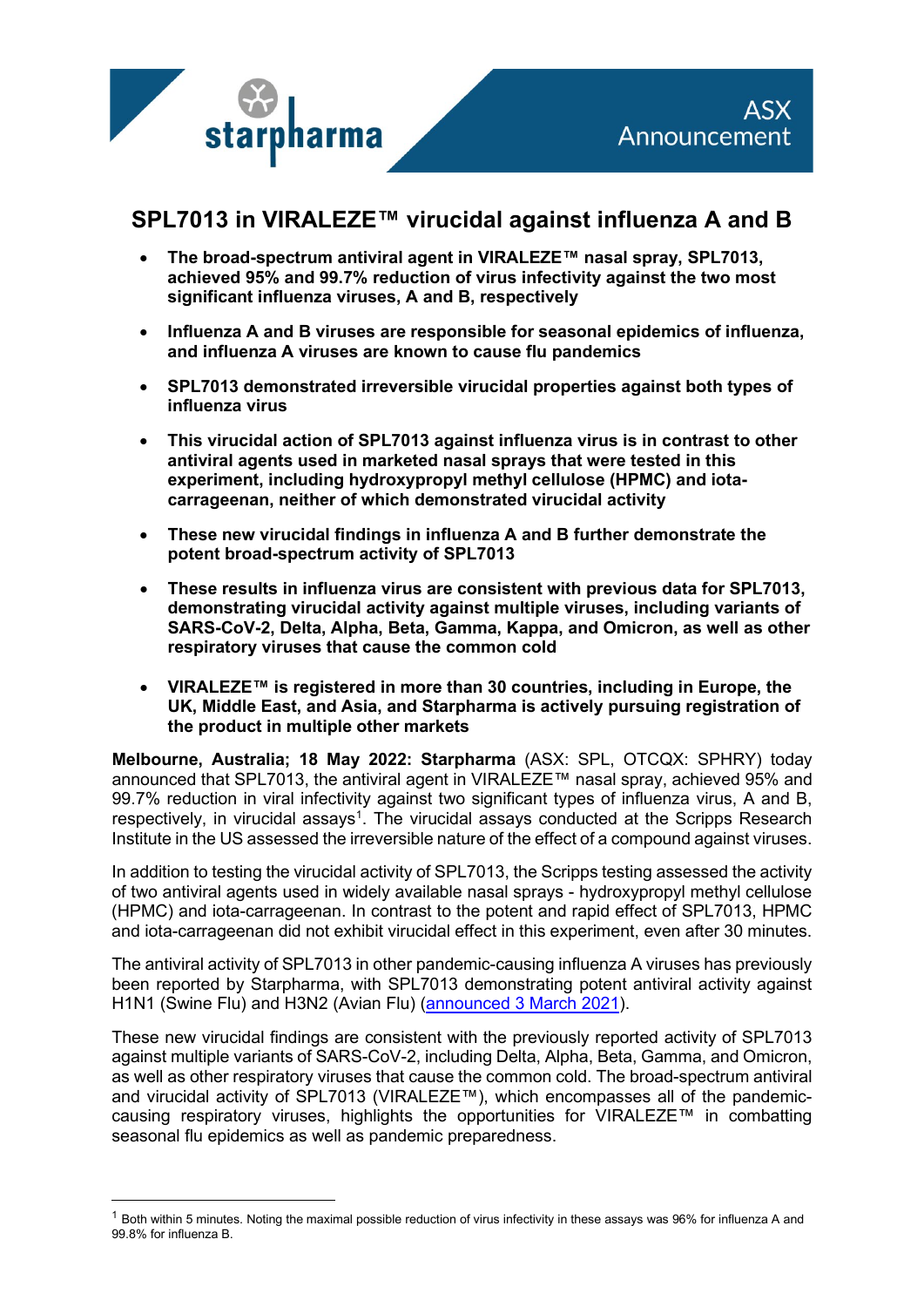

# **SPL7013 in VIRALEZE™ virucidal against influenza A and B**

- **The broad-spectrum antiviral agent in VIRALEZE™ nasal spray, SPL7013, achieved 95% and 99.7% reduction of virus infectivity against the two most significant influenza viruses, A and B, respectively**
- **Influenza A and B viruses are responsible for seasonal epidemics of influenza, and influenza A viruses are known to cause flu pandemics**
- **SPL7013 demonstrated irreversible virucidal properties against both types of influenza virus**
- **This virucidal action of SPL7013 against influenza virus is in contrast to other antiviral agents used in marketed nasal sprays that were tested in this experiment, including hydroxypropyl methyl cellulose (HPMC) and iotacarrageenan, neither of which demonstrated virucidal activity**
- **These new virucidal findings in influenza A and B further demonstrate the potent broad-spectrum activity of SPL7013**
- **These results in influenza virus are consistent with previous data for SPL7013, demonstrating virucidal activity against multiple viruses, including variants of SARS-CoV-2, Delta, Alpha, Beta, Gamma, Kappa, and Omicron, as well as other respiratory viruses that cause the common cold**
- **VIRALEZE™ is registered in more than 30 countries, including in Europe, the UK, Middle East, and Asia, and Starpharma is actively pursuing registration of the product in multiple other markets**

**Melbourne, Australia; 18 May 2022: Starpharma** (ASX: SPL, OTCQX: SPHRY) today announced that SPL7013, the antiviral agent in VIRALEZE™ nasal spray, achieved 95% and 99.7% reduction in viral infectivity against two significant types of influenza virus, A and B, respectively, in virucidal assays<sup>[1](#page-0-0)</sup>. The virucidal assays conducted at the Scripps Research Institute in the US assessed the irreversible nature of the effect of a compound against viruses.

In addition to testing the virucidal activity of SPL7013, the Scripps testing assessed the activity of two antiviral agents used in widely available nasal sprays - hydroxypropyl methyl cellulose (HPMC) and iota-carrageenan. In contrast to the potent and rapid effect of SPL7013, HPMC and iota-carrageenan did not exhibit virucidal effect in this experiment, even after 30 minutes.

The antiviral activity of SPL7013 in other pandemic-causing influenza A viruses has previously been reported by Starpharma, with SPL7013 demonstrating potent antiviral activity against H1N1 (Swine Flu) and H3N2 (Avian Flu) [\(announced 3 March 2021\)](https://starpharma.com/news/554).

These new virucidal findings are consistent with the previously reported activity of SPL7013 against multiple variants of SARS-CoV-2, including Delta, Alpha, Beta, Gamma, and Omicron, as well as other respiratory viruses that cause the common cold. The broad-spectrum antiviral and virucidal activity of SPL7013 (VIRALEZE™), which encompasses all of the pandemiccausing respiratory viruses, highlights the opportunities for VIRALEZE™ in combatting seasonal flu epidemics as well as pandemic preparedness.

<span id="page-0-0"></span> $1$  Both within 5 minutes. Noting the maximal possible reduction of virus infectivity in these assays was 96% for influenza A and 99.8% for influenza B.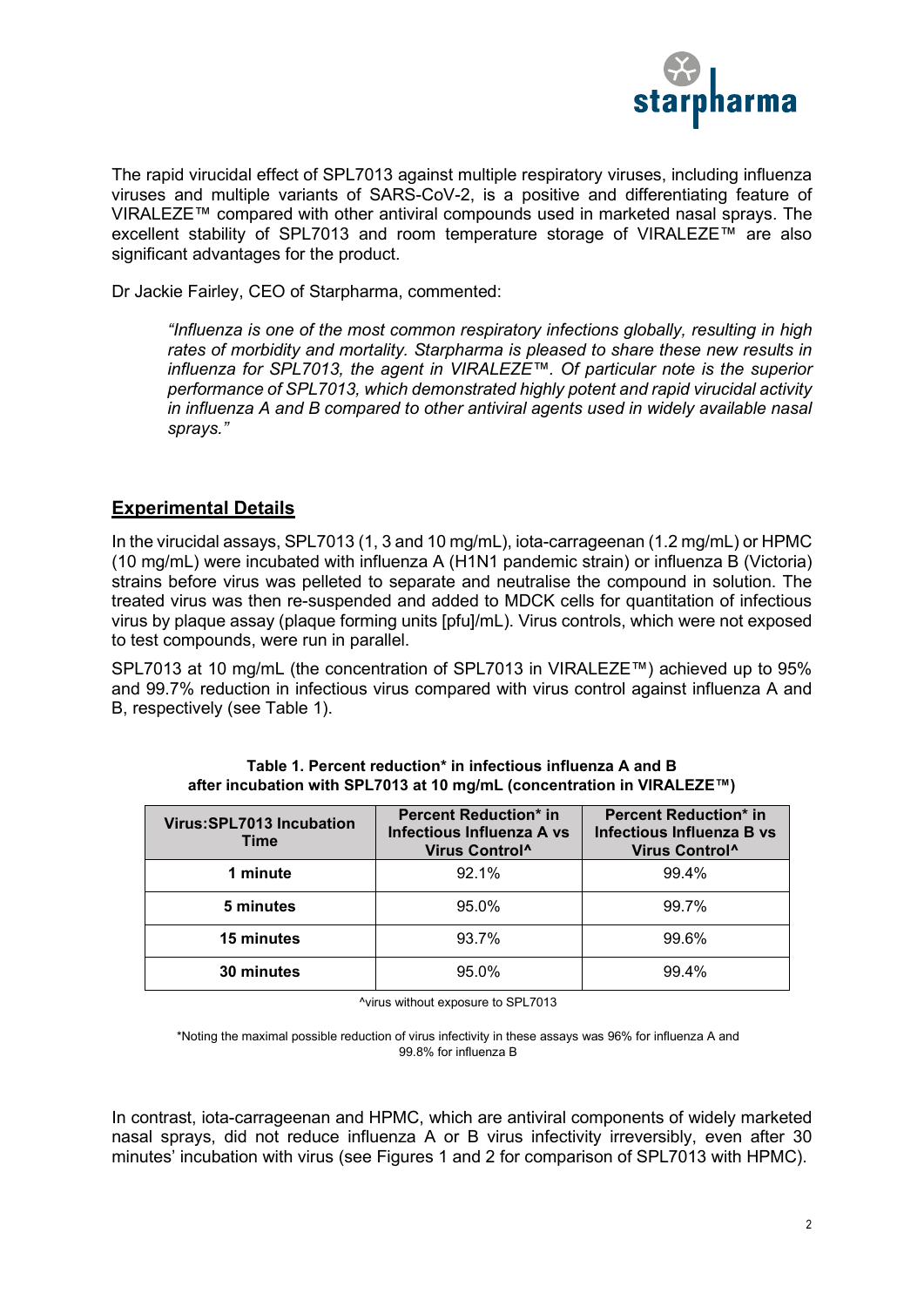

The rapid virucidal effect of SPL7013 against multiple respiratory viruses, including influenza viruses and multiple variants of SARS-CoV-2, is a positive and differentiating feature of VIRALEZE™ compared with other antiviral compounds used in marketed nasal sprays. The excellent stability of SPL7013 and room temperature storage of VIRALEZE™ are also significant advantages for the product.

Dr Jackie Fairley, CEO of Starpharma, commented:

*"Influenza is one of the most common respiratory infections globally, resulting in high rates of morbidity and mortality. Starpharma is pleased to share these new results in influenza for SPL7013, the agent in VIRALEZE™. Of particular note is the superior performance of SPL7013, which demonstrated highly potent and rapid virucidal activity in influenza A and B compared to other antiviral agents used in widely available nasal sprays."*

# **Experimental Details**

In the virucidal assays, SPL7013 (1, 3 and 10 mg/mL), iota-carrageenan (1.2 mg/mL) or HPMC (10 mg/mL) were incubated with influenza A (H1N1 pandemic strain) or influenza B (Victoria) strains before virus was pelleted to separate and neutralise the compound in solution. The treated virus was then re-suspended and added to MDCK cells for quantitation of infectious virus by plaque assay (plaque forming units [pfu]/mL). Virus controls, which were not exposed to test compounds, were run in parallel.

SPL7013 at 10 mg/mL (the concentration of SPL7013 in VIRALEZE™) achieved up to 95% and 99.7% reduction in infectious virus compared with virus control against influenza A and B, respectively (see Table 1).

| Virus: SPL7013 Incubation<br>Time | <b>Percent Reduction* in</b><br>Infectious Influenza A vs<br>Virus Control <sup>^</sup> | <b>Percent Reduction* in</b><br>Infectious Influenza B vs<br>Virus Control <sup>^</sup> |
|-----------------------------------|-----------------------------------------------------------------------------------------|-----------------------------------------------------------------------------------------|
| 1 minute                          | 92.1%                                                                                   | 99.4%                                                                                   |
| 5 minutes                         | 95.0%                                                                                   | 99.7%                                                                                   |
| 15 minutes                        | 93.7%                                                                                   | 99.6%                                                                                   |
| 30 minutes                        | 95.0%                                                                                   | 994%                                                                                    |

**Table 1. Percent reduction\* in infectious influenza A and B after incubation with SPL7013 at 10 mg/mL (concentration in VIRALEZE™)**

^virus without exposure to SPL7013

\*Noting the maximal possible reduction of virus infectivity in these assays was 96% for influenza A and 99.8% for influenza B

In contrast, iota-carrageenan and HPMC, which are antiviral components of widely marketed nasal sprays, did not reduce influenza A or B virus infectivity irreversibly, even after 30 minutes' incubation with virus (see Figures 1 and 2 for comparison of SPL7013 with HPMC).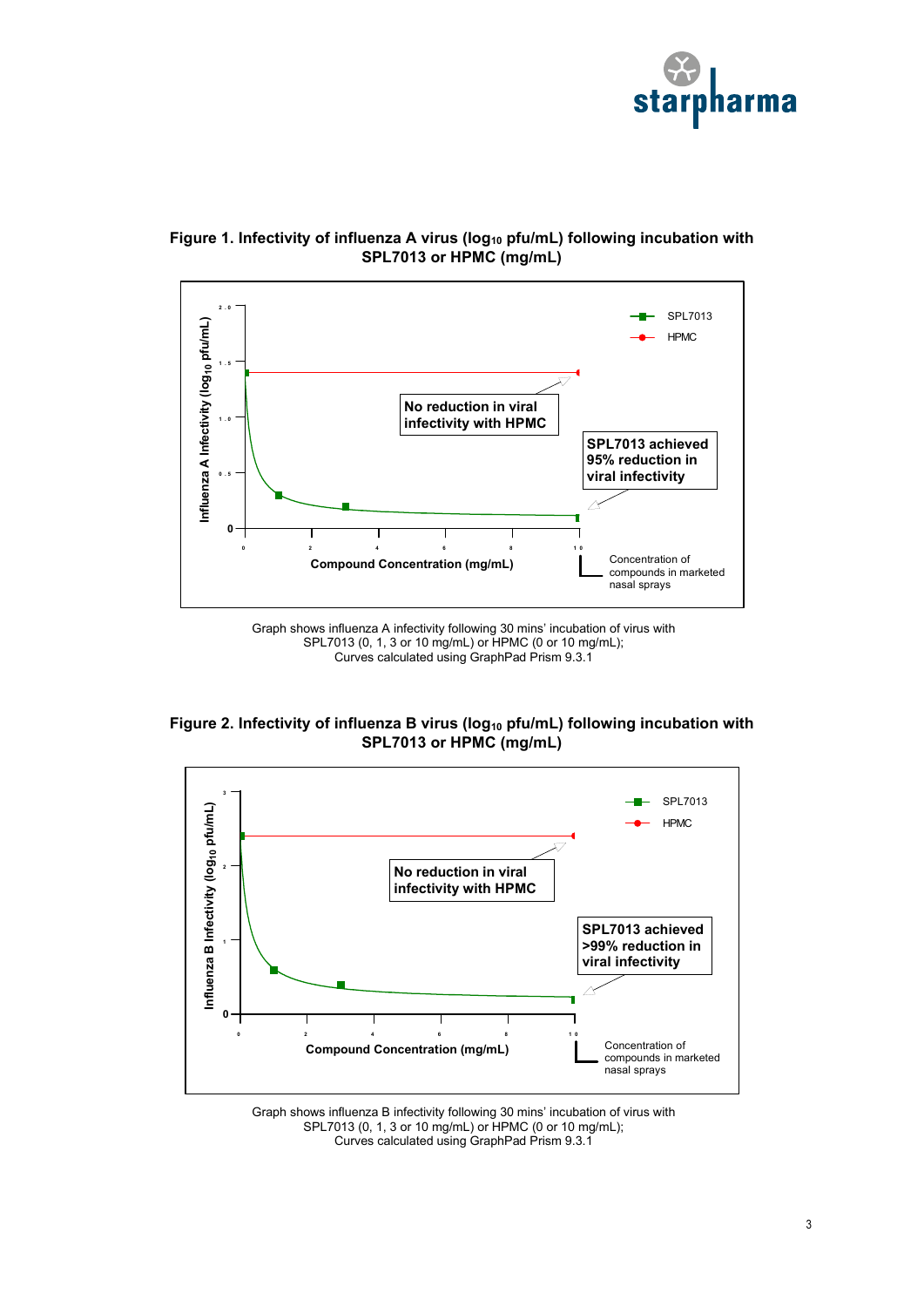





Graph shows influenza A infectivity following 30 mins' incubation of virus with SPL7013 (0, 1, 3 or 10 mg/mL) or HPMC (0 or 10 mg/mL); Curves calculated using GraphPad Prism 9.3.1

**Figure 2. Infectivity of influenza B virus (log10 pfu/mL) following incubation with SPL7013 or HPMC (mg/mL)**



Graph shows influenza B infectivity following 30 mins' incubation of virus with SPL7013 (0, 1, 3 or 10 mg/mL) or HPMC (0 or 10 mg/mL); Curves calculated using GraphPad Prism 9.3.1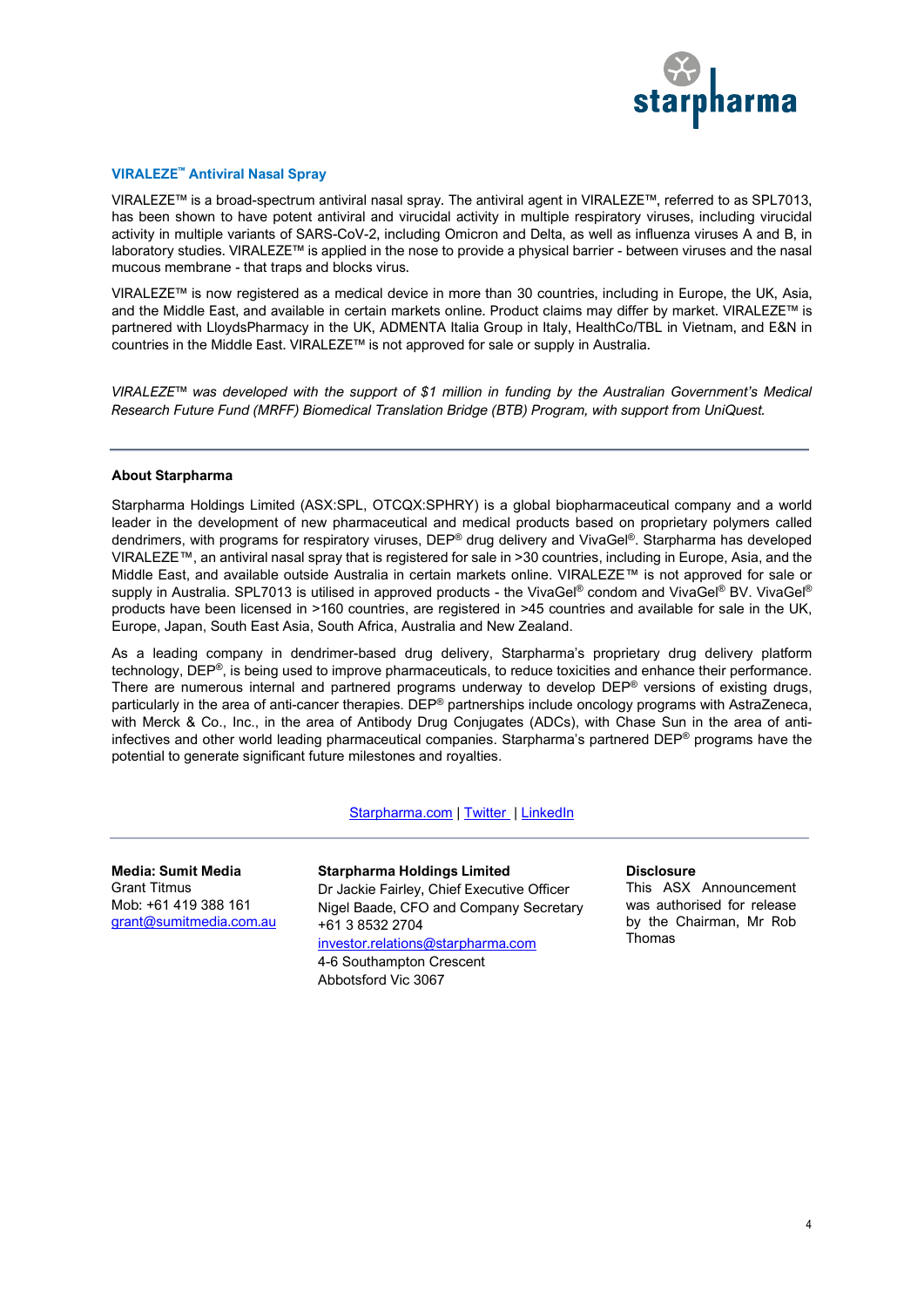

### **VIRALEZE™ Antiviral Nasal Spray**

VIRALEZE™ is a broad-spectrum antiviral nasal spray. The antiviral agent in VIRALEZE™, referred to as SPL7013, has been shown to have potent antiviral and virucidal activity in multiple respiratory viruses, including virucidal activity in multiple variants of SARS-CoV-2, including Omicron and Delta, as well as influenza viruses A and B, in laboratory studies. VIRALEZE™ is applied in the nose to provide a physical barrier - between viruses and the nasal mucous membrane - that traps and blocks virus.

VIRALEZE™ is now registered as a medical device in more than 30 countries, including in Europe, the UK, Asia, and the Middle East, and available in certain markets online. Product claims may differ by market. VIRALEZE™ is partnered with LloydsPharmacy in the UK, ADMENTA Italia Group in Italy, HealthCo/TBL in Vietnam, and E&N in countries in the Middle East. VIRALEZE™ is not approved for sale or supply in Australia.

*VIRALEZE™ was developed with the support of \$1 million in funding by the Australian Government's Medical Research Future Fund (MRFF) Biomedical Translation Bridge (BTB) Program, with support from UniQuest.*

#### **About Starpharma**

Starpharma Holdings Limited (ASX:SPL, OTCQX:SPHRY) is a global biopharmaceutical company and a world leader in the development of new pharmaceutical and medical products based on proprietary polymers called dendrimers, with programs for respiratory viruses, DEP® drug delivery and VivaGel®. Starpharma has developed VIRALEZE™, an antiviral nasal spray that is registered for sale in >30 countries, including in Europe, Asia, and the Middle East, and available outside Australia in certain markets online. VIRALEZE™ is not approved for sale or supply in Australia. SPL7013 is utilised in approved products - the VivaGel® condom and VivaGel® BV. VivaGel® products have been licensed in >160 countries, are registered in >45 countries and available for sale in the UK, Europe, Japan, South East Asia, South Africa, Australia and New Zealand.

As a leading company in dendrimer-based drug delivery, Starpharma's proprietary drug delivery platform technology, DEP®, is being used to improve pharmaceuticals, to reduce toxicities and enhance their performance. There are numerous internal and partnered programs underway to develop DEP® versions of existing drugs, particularly in the area of anti-cancer therapies. DEP® partnerships include oncology programs with AstraZeneca, with Merck & Co., Inc., in the area of Antibody Drug Conjugates (ADCs), with Chase Sun in the area of antiinfectives and other world leading pharmaceutical companies. Starpharma's partnered DEP® programs have the potential to generate significant future milestones and royalties.

## [Starpharma.com](http://www.starpharma.com/) | [Twitter](https://twitter.com/Starpharma_ASX) | LinkedIn

**Media: Sumit Media** Grant Titmus Mob: +61 419 388 161 [grant@sumitmedia.com.au](mailto:grant@sumitmedia.com.au) **Starpharma Holdings Limited** Dr Jackie Fairley, Chief Executive Officer Nigel Baade, CFO and Company Secretary +61 3 8532 2704 [investor.relations@starpharma.com](mailto:investor.relations@starpharma.com) 4-6 Southampton Crescent Abbotsford Vic 3067

**Disclosure**

This ASX Announcement was authorised for release by the Chairman, Mr Rob Thomas